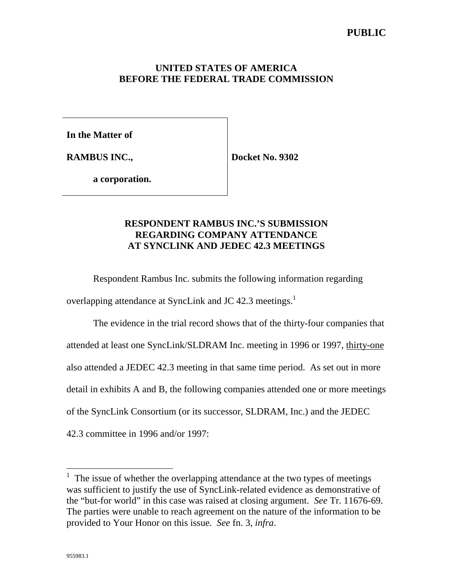## **UNITED STATES OF AMERICA BEFORE THE FEDERAL TRADE COMMISSION**

**In the Matter of**

**RAMBUS INC.,**

**Docket No. 9302**

**a corporation.**

# **RESPONDENT RAMBUS INC.'S SUBMISSION REGARDING COMPANY ATTENDANCE AT SYNCLINK AND JEDEC 42.3 MEETINGS**

Respondent Rambus Inc. submits the following information regarding overlapping attendance at SyncLink and JC 42.3 meetings.<sup>1</sup>

The evidence in the trial record shows that of the thirty-four companies that attended at least one SyncLink/SLDRAM Inc. meeting in 1996 or 1997, thirty-one also attended a JEDEC 42.3 meeting in that same time period. As set out in more detail in exhibits A and B, the following companies attended one or more meetings of the SyncLink Consortium (or its successor, SLDRAM, Inc.) and the JEDEC 42.3 committee in 1996 and/or 1997:

 $\overline{a}$ 

<sup>&</sup>lt;sup>1</sup> The issue of whether the overlapping attendance at the two types of meetings was sufficient to justify the use of SyncLink-related evidence as demonstrative of the "but-for world" in this case was raised at closing argument. *See* Tr. 11676-69. The parties were unable to reach agreement on the nature of the information to be provided to Your Honor on this issue. *See* fn. 3, *infra*.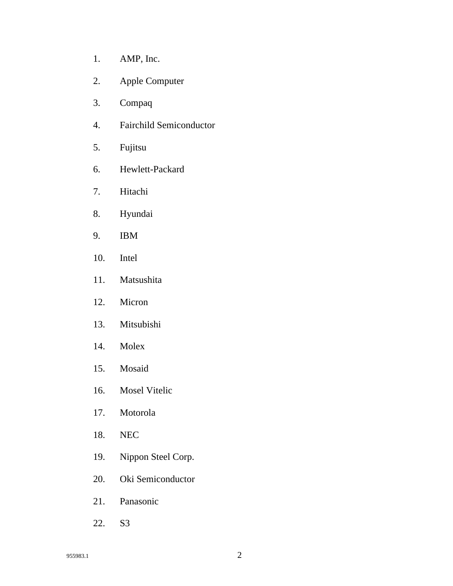- 1. AMP, Inc.
- 2. Apple Computer
- 3. Compaq
- 4. Fairchild Semiconductor
- 5. Fujitsu
- 6. Hewlett-Packard
- 7. Hitachi
- 8. Hyundai
- 9. IBM
- 10. Intel
- 11. Matsushita
- 12. Micron
- 13. Mitsubishi
- 14. Molex
- 15. Mosaid
- 16. Mosel Vitelic
- 17. Motorola
- 18. NEC
- 19. Nippon Steel Corp.
- 20. Oki Semiconductor
- 21. Panasonic
- 22. S3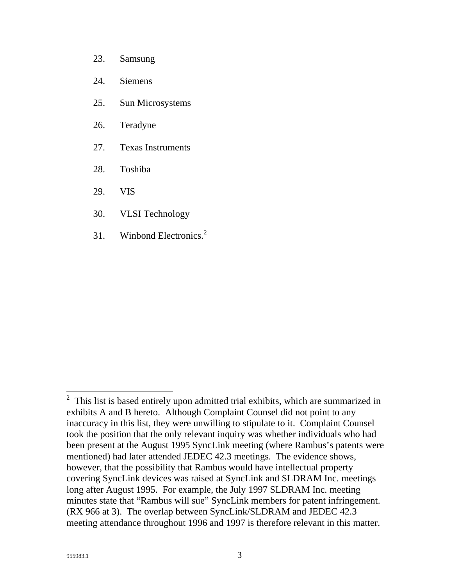- 23. Samsung
- 24. Siemens
- 25. Sun Microsystems
- 26. Teradyne
- 27. Texas Instruments
- 28. Toshiba
- 29. VIS
- 30. VLSI Technology
- 31. Winbond Electronics. 2

 $\overline{a}$ 

 $2$  This list is based entirely upon admitted trial exhibits, which are summarized in exhibits A and B hereto. Although Complaint Counsel did not point to any inaccuracy in this list, they were unwilling to stipulate to it. Complaint Counsel took the position that the only relevant inquiry was whether individuals who had been present at the August 1995 SyncLink meeting (where Rambus's patents were mentioned) had later attended JEDEC 42.3 meetings. The evidence shows, however, that the possibility that Rambus would have intellectual property covering SyncLink devices was raised at SyncLink and SLDRAM Inc. meetings long after August 1995. For example, the July 1997 SLDRAM Inc. meeting minutes state that "Rambus will sue" SyncLink members for patent infringement. (RX 966 at 3). The overlap between SyncLink/SLDRAM and JEDEC 42.3 meeting attendance throughout 1996 and 1997 is therefore relevant in this matter.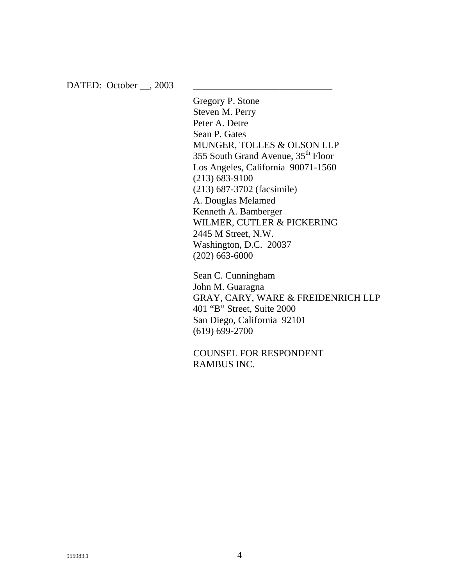DATED: October  $\_\_$ , 2003

Gregory P. Stone Steven M. Perry Peter A. Detre Sean P. Gates MUNGER, TOLLES & OLSON LLP 355 South Grand Avenue, 35<sup>th</sup> Floor Los Angeles, California 90071-1560 (213) 683-9100 (213) 687-3702 (facsimile) A. Douglas Melamed Kenneth A. Bamberger WILMER, CUTLER & PICKERING 2445 M Street, N.W. Washington, D.C. 20037 (202) 663-6000

Sean C. Cunningham John M. Guaragna GRAY, CARY, WARE & FREIDENRICH LLP 401 "B" Street, Suite 2000 San Diego, California 92101 (619) 699-2700

COUNSEL FOR RESPONDENT RAMBUS INC.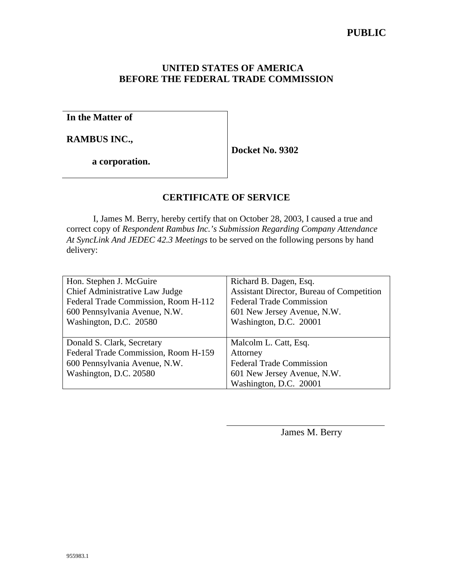## **UNITED STATES OF AMERICA BEFORE THE FEDERAL TRADE COMMISSION**

**In the Matter of**

**RAMBUS INC.,**

**Docket No. 9302**

**a corporation.**

# **CERTIFICATE OF SERVICE**

I, James M. Berry, hereby certify that on October 28, 2003, I caused a true and correct copy of *Respondent Rambus Inc.'s Submission Regarding Company Attendance At SyncLink And JEDEC 42.3 Meetings* to be served on the following persons by hand delivery:

| Hon. Stephen J. McGuire              | Richard B. Dagen, Esq.                    |
|--------------------------------------|-------------------------------------------|
| Chief Administrative Law Judge       | Assistant Director, Bureau of Competition |
| Federal Trade Commission, Room H-112 | <b>Federal Trade Commission</b>           |
| 600 Pennsylvania Avenue, N.W.        | 601 New Jersey Avenue, N.W.               |
| Washington, D.C. 20580               | Washington, D.C. 20001                    |
|                                      |                                           |
| Donald S. Clark, Secretary           | Malcolm L. Catt, Esq.                     |
| Federal Trade Commission, Room H-159 | Attorney                                  |
| 600 Pennsylvania Avenue, N.W.        | <b>Federal Trade Commission</b>           |
| Washington, D.C. 20580               | 601 New Jersey Avenue, N.W.               |
|                                      | Washington, D.C. 20001                    |

 $\overline{\phantom{a}}$ 

James M. Berry